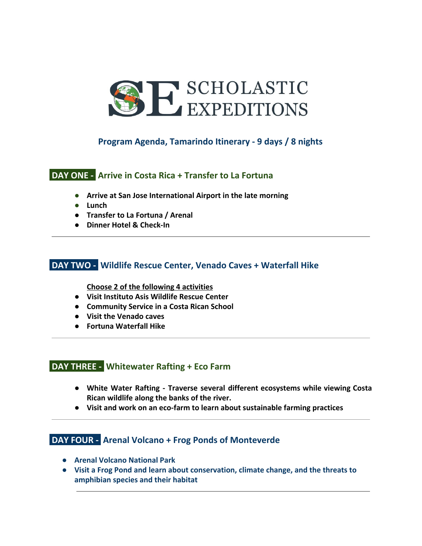

# **Program Agenda, Tamarindo Itinerary - 9 days / 8 nights**

### **DAY ONE - Arrive in Costa Rica + Transfer to La Fortuna**

- **● Arrive at San Jose International Airport in the late morning**
- **● Lunch**
- **● Transfer to La Fortuna / Arenal**
- **● Dinner Hotel & Check-In**

#### **DAY TWO - Wildlife Rescue Center, Venado Caves + Waterfall Hike**

**Choose 2 of the following 4 activities**

- **Visit Instituto Asis Wildlife Rescue Center**
- **● Community Service in a Costa Rican School**
- **● Visit the Venado caves**
- **● Fortuna Waterfall Hike**

# **DAY THREE - Whitewater Rafting + Eco Farm**

- **White Water Rafting - Traverse several different ecosystems while viewing Costa Rican wildlife along the banks of the river.**
- **● Visit and work on an eco-farm to learn about sustainable farming practices**

# **DAY FOUR - Arenal Volcano + Frog Ponds of Monteverde**

- **● Arenal Volcano National Park**
- **● Visit a Frog Pond and learn about conservation, climate change, and the threats to amphibian species and their habitat**